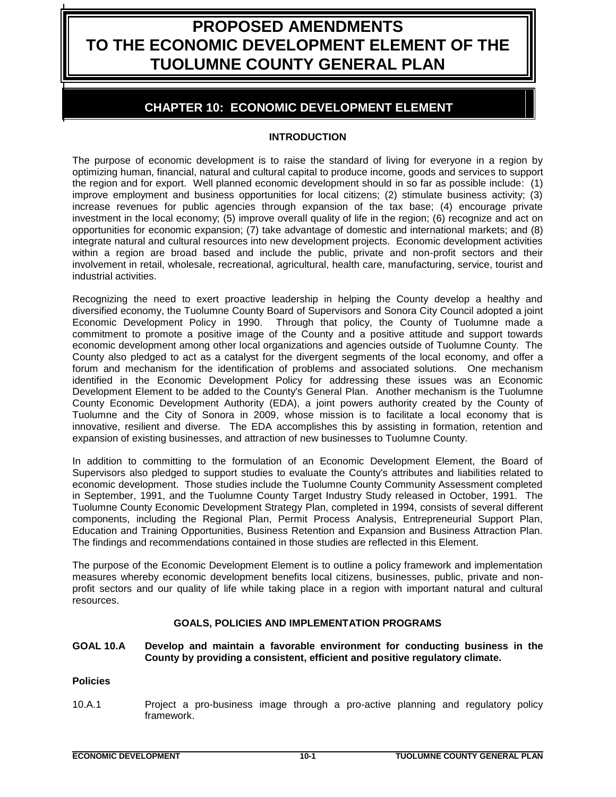# **PROPOSED AMENDMENTS TO THE ECONOMIC DEVELOPMENT ELEMENT OF THE TUOLUMNE COUNTY GENERAL PLAN**

# **CHAPTER 10: ECONOMIC DEVELOPMENT ELEMENT**

# **INTRODUCTION**

The purpose of economic development is to raise the standard of living for everyone in a region by optimizing human, financial, natural and cultural capital to produce income, goods and services to support the region and for export. Well planned economic development should in so far as possible include: (1) improve employment and business opportunities for local citizens; (2) stimulate business activity; (3) increase revenues for public agencies through expansion of the tax base; (4) encourage private investment in the local economy; (5) improve overall quality of life in the region; (6) recognize and act on opportunities for economic expansion; (7) take advantage of domestic and international markets; and (8) integrate natural and cultural resources into new development projects. Economic development activities within a region are broad based and include the public, private and non-profit sectors and their involvement in retail, wholesale, recreational, agricultural, health care, manufacturing, service, tourist and industrial activities.

Recognizing the need to exert proactive leadership in helping the County develop a healthy and diversified economy, the Tuolumne County Board of Supervisors and Sonora City Council adopted a joint Economic Development Policy in 1990. Through that policy, the County of Tuolumne made a commitment to promote a positive image of the County and a positive attitude and support towards economic development among other local organizations and agencies outside of Tuolumne County. The County also pledged to act as a catalyst for the divergent segments of the local economy, and offer a forum and mechanism for the identification of problems and associated solutions. One mechanism identified in the Economic Development Policy for addressing these issues was an Economic Development Element to be added to the County's General Plan. Another mechanism is the Tuolumne County Economic Development Authority (EDA), a joint powers authority created by the County of Tuolumne and the City of Sonora in 2009, whose mission is to facilitate a local economy that is innovative, resilient and diverse. The EDA accomplishes this by assisting in formation, retention and expansion of existing businesses, and attraction of new businesses to Tuolumne County.

In addition to committing to the formulation of an Economic Development Element, the Board of Supervisors also pledged to support studies to evaluate the County's attributes and liabilities related to economic development. Those studies include the Tuolumne County Community Assessment completed in September, 1991, and the Tuolumne County Target Industry Study released in October, 1991. The Tuolumne County Economic Development Strategy Plan, completed in 1994, consists of several different components, including the Regional Plan, Permit Process Analysis, Entrepreneurial Support Plan, Education and Training Opportunities, Business Retention and Expansion and Business Attraction Plan. The findings and recommendations contained in those studies are reflected in this Element.

The purpose of the Economic Development Element is to outline a policy framework and implementation measures whereby economic development benefits local citizens, businesses, public, private and nonprofit sectors and our quality of life while taking place in a region with important natural and cultural resources.

# **GOALS, POLICIES AND IMPLEMENTATION PROGRAMS**

#### **GOAL 10.A Develop and maintain a favorable environment for conducting business in the County by providing a consistent, efficient and positive regulatory climate.**

# **Policies**

10.A.1 Project a pro-business image through a pro-active planning and regulatory policy framework.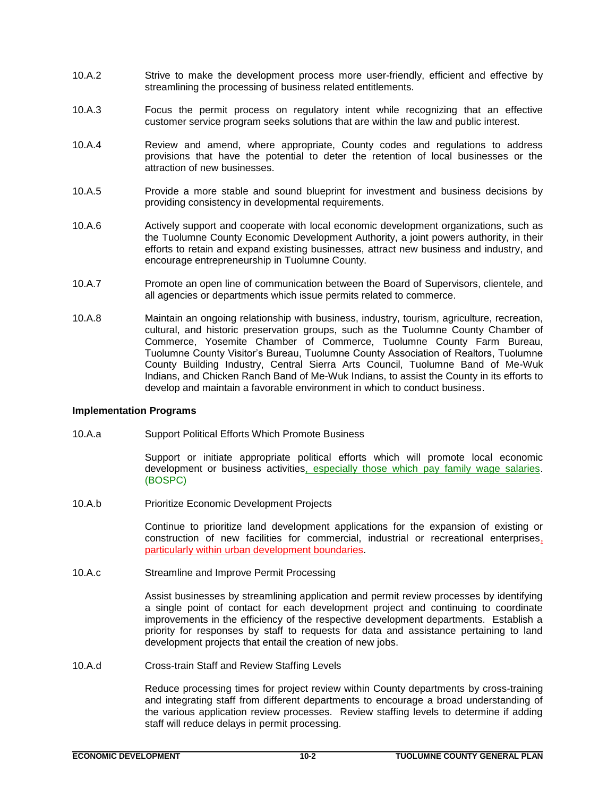- 10.A.2 Strive to make the development process more user-friendly, efficient and effective by streamlining the processing of business related entitlements.
- 10.A.3 Focus the permit process on regulatory intent while recognizing that an effective customer service program seeks solutions that are within the law and public interest.
- 10.A.4 Review and amend, where appropriate, County codes and regulations to address provisions that have the potential to deter the retention of local businesses or the attraction of new businesses.
- 10.A.5 Provide a more stable and sound blueprint for investment and business decisions by providing consistency in developmental requirements.
- 10.A.6 Actively support and cooperate with local economic development organizations, such as the Tuolumne County Economic Development Authority, a joint powers authority, in their efforts to retain and expand existing businesses, attract new business and industry, and encourage entrepreneurship in Tuolumne County.
- 10.A.7 Promote an open line of communication between the Board of Supervisors, clientele, and all agencies or departments which issue permits related to commerce.
- 10.A.8 Maintain an ongoing relationship with business, industry, tourism, agriculture, recreation, cultural, and historic preservation groups, such as the Tuolumne County Chamber of Commerce, Yosemite Chamber of Commerce, Tuolumne County Farm Bureau, Tuolumne County Visitor's Bureau, Tuolumne County Association of Realtors, Tuolumne County Building Industry, Central Sierra Arts Council, Tuolumne Band of Me-Wuk Indians, and Chicken Ranch Band of Me-Wuk Indians, to assist the County in its efforts to develop and maintain a favorable environment in which to conduct business.

# **Implementation Programs**

10.A.a Support Political Efforts Which Promote Business

Support or initiate appropriate political efforts which will promote local economic development or business activities, especially those which pay family wage salaries. (BOSPC)

10.A.b Prioritize Economic Development Projects

Continue to prioritize land development applications for the expansion of existing or construction of new facilities for commercial, industrial or recreational enterprises, particularly within urban development boundaries.

10.A.c Streamline and Improve Permit Processing

Assist businesses by streamlining application and permit review processes by identifying a single point of contact for each development project and continuing to coordinate improvements in the efficiency of the respective development departments. Establish a priority for responses by staff to requests for data and assistance pertaining to land development projects that entail the creation of new jobs.

10.A.d Cross-train Staff and Review Staffing Levels

Reduce processing times for project review within County departments by cross-training and integrating staff from different departments to encourage a broad understanding of the various application review processes. Review staffing levels to determine if adding staff will reduce delays in permit processing.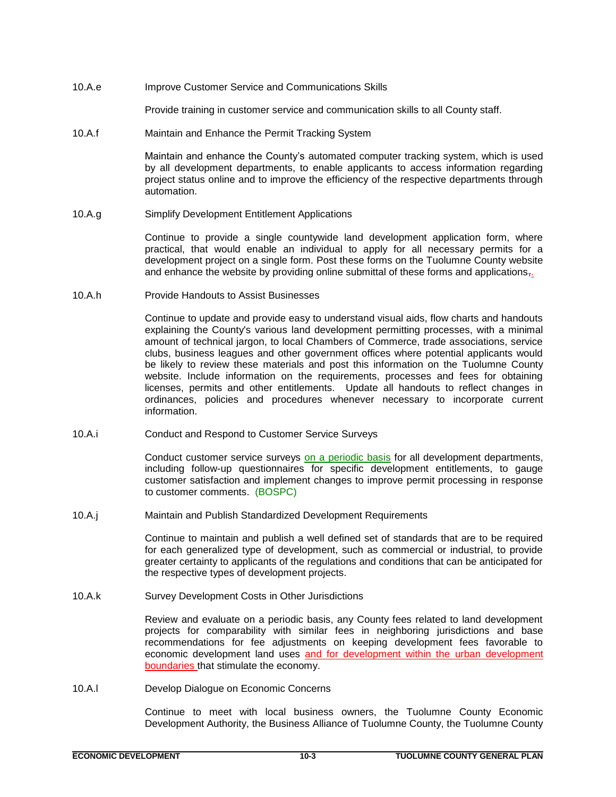10.A.e Improve Customer Service and Communications Skills

Provide training in customer service and communication skills to all County staff.

10.A.f Maintain and Enhance the Permit Tracking System

Maintain and enhance the County's automated computer tracking system, which is used by all development departments, to enable applicants to access information regarding project status online and to improve the efficiency of the respective departments through automation.

10.A.g Simplify Development Entitlement Applications

Continue to provide a single countywide land development application form, where practical, that would enable an individual to apply for all necessary permits for a development project on a single form. Post these forms on the Tuolumne County website and enhance the website by providing online submittal of these forms and applications $\overline{\mathfrak{g}}$ .

10.A.h Provide Handouts to Assist Businesses

Continue to update and provide easy to understand visual aids, flow charts and handouts explaining the County's various land development permitting processes, with a minimal amount of technical jargon, to local Chambers of Commerce, trade associations, service clubs, business leagues and other government offices where potential applicants would be likely to review these materials and post this information on the Tuolumne County website. Include information on the requirements, processes and fees for obtaining licenses, permits and other entitlements. Update all handouts to reflect changes in ordinances, policies and procedures whenever necessary to incorporate current information.

10.A.i Conduct and Respond to Customer Service Surveys

Conduct customer service surveys on a periodic basis for all development departments, including follow-up questionnaires for specific development entitlements, to gauge customer satisfaction and implement changes to improve permit processing in response to customer comments. (BOSPC)

10.A.j Maintain and Publish Standardized Development Requirements

Continue to maintain and publish a well defined set of standards that are to be required for each generalized type of development, such as commercial or industrial, to provide greater certainty to applicants of the regulations and conditions that can be anticipated for the respective types of development projects.

10.A.k Survey Development Costs in Other Jurisdictions

Review and evaluate on a periodic basis, any County fees related to land development projects for comparability with similar fees in neighboring jurisdictions and base recommendations for fee adjustments on keeping development fees favorable to economic development land uses and for development within the urban development boundaries that stimulate the economy.

10.A.l Develop Dialogue on Economic Concerns

Continue to meet with local business owners, the Tuolumne County Economic Development Authority, the Business Alliance of Tuolumne County, the Tuolumne County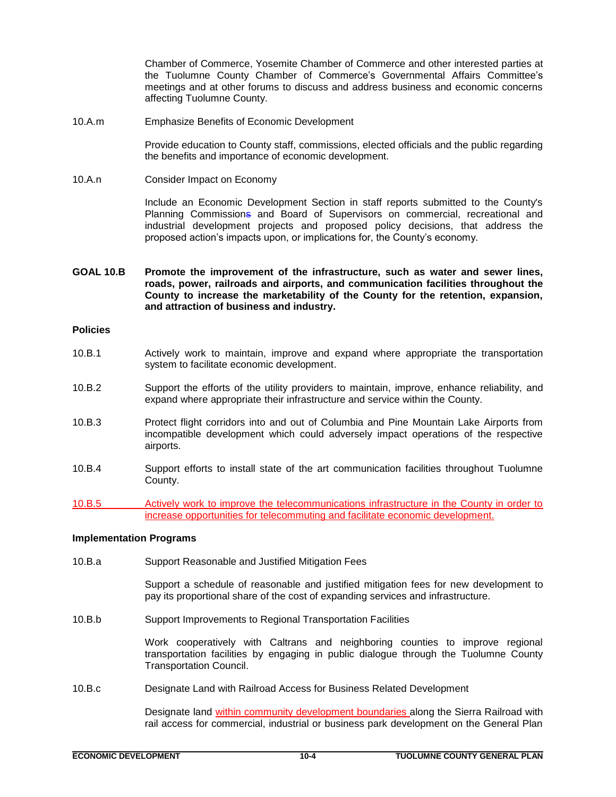Chamber of Commerce, Yosemite Chamber of Commerce and other interested parties at the Tuolumne County Chamber of Commerce's Governmental Affairs Committee's meetings and at other forums to discuss and address business and economic concerns affecting Tuolumne County.

10.A.m Emphasize Benefits of Economic Development

Provide education to County staff, commissions, elected officials and the public regarding the benefits and importance of economic development.

10.A.n Consider Impact on Economy

Include an Economic Development Section in staff reports submitted to the County's Planning Commissions and Board of Supervisors on commercial, recreational and industrial development projects and proposed policy decisions, that address the proposed action's impacts upon, or implications for, the County's economy.

**GOAL 10.B Promote the improvement of the infrastructure, such as water and sewer lines, roads, power, railroads and airports, and communication facilities throughout the County to increase the marketability of the County for the retention, expansion, and attraction of business and industry.** 

#### **Policies**

- 10.B.1 Actively work to maintain, improve and expand where appropriate the transportation system to facilitate economic development.
- 10.B.2 Support the efforts of the utility providers to maintain, improve, enhance reliability, and expand where appropriate their infrastructure and service within the County.
- 10.B.3 Protect flight corridors into and out of Columbia and Pine Mountain Lake Airports from incompatible development which could adversely impact operations of the respective airports.
- 10.B.4 Support efforts to install state of the art communication facilities throughout Tuolumne County.
- 10.B.5 Actively work to improve the telecommunications infrastructure in the County in order to increase opportunities for telecommuting and facilitate economic development.

#### **Implementation Programs**

10.B.a Support Reasonable and Justified Mitigation Fees

Support a schedule of reasonable and justified mitigation fees for new development to pay its proportional share of the cost of expanding services and infrastructure.

10.B.b Support Improvements to Regional Transportation Facilities

Work cooperatively with Caltrans and neighboring counties to improve regional transportation facilities by engaging in public dialogue through the Tuolumne County Transportation Council.

10.B.c Designate Land with Railroad Access for Business Related Development

Designate land within community development boundaries along the Sierra Railroad with rail access for commercial, industrial or business park development on the General Plan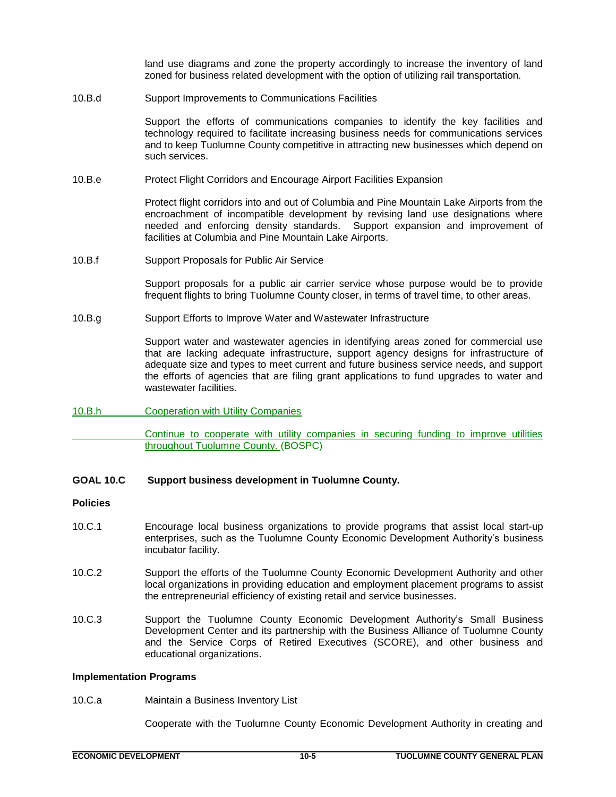land use diagrams and zone the property accordingly to increase the inventory of land zoned for business related development with the option of utilizing rail transportation.

10.B.d Support Improvements to Communications Facilities

Support the efforts of communications companies to identify the key facilities and technology required to facilitate increasing business needs for communications services and to keep Tuolumne County competitive in attracting new businesses which depend on such services.

10.B.e Protect Flight Corridors and Encourage Airport Facilities Expansion

Protect flight corridors into and out of Columbia and Pine Mountain Lake Airports from the encroachment of incompatible development by revising land use designations where needed and enforcing density standards. Support expansion and improvement of facilities at Columbia and Pine Mountain Lake Airports.

10.B.f Support Proposals for Public Air Service

Support proposals for a public air carrier service whose purpose would be to provide frequent flights to bring Tuolumne County closer, in terms of travel time, to other areas.

10.B.g Support Efforts to Improve Water and Wastewater Infrastructure

Support water and wastewater agencies in identifying areas zoned for commercial use that are lacking adequate infrastructure, support agency designs for infrastructure of adequate size and types to meet current and future business service needs, and support the efforts of agencies that are filing grant applications to fund upgrades to water and wastewater facilities.

# 10.B.h Cooperation with Utility Companies

Continue to cooperate with utility companies in securing funding to improve utilities throughout Tuolumne County. (BOSPC)

**GOAL 10.C Support business development in Tuolumne County.** 

# **Policies**

- 10.C.1 Encourage local business organizations to provide programs that assist local start-up enterprises, such as the Tuolumne County Economic Development Authority's business incubator facility.
- 10.C.2 Support the efforts of the Tuolumne County Economic Development Authority and other local organizations in providing education and employment placement programs to assist the entrepreneurial efficiency of existing retail and service businesses.
- 10.C.3 Support the Tuolumne County Economic Development Authority's Small Business Development Center and its partnership with the Business Alliance of Tuolumne County and the Service Corps of Retired Executives (SCORE), and other business and educational organizations.

#### **Implementation Programs**

10.C.a Maintain a Business Inventory List

Cooperate with the Tuolumne County Economic Development Authority in creating and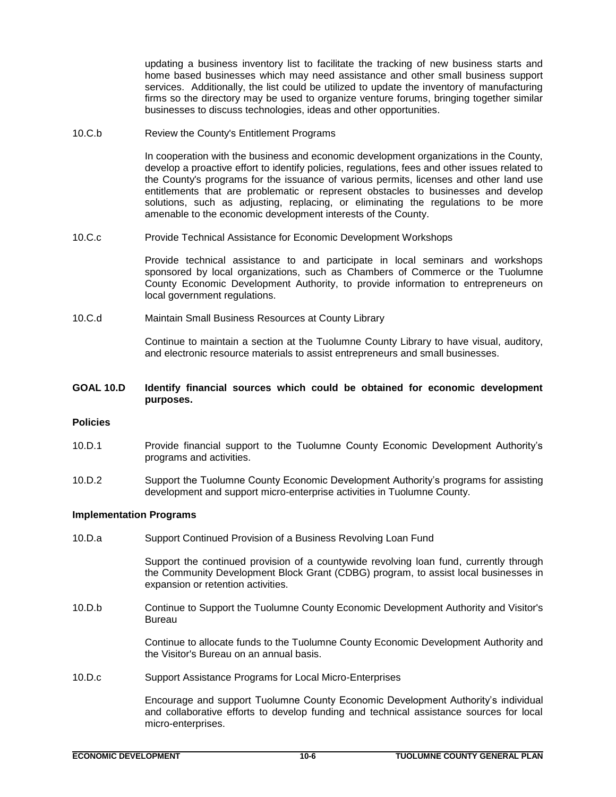updating a business inventory list to facilitate the tracking of new business starts and home based businesses which may need assistance and other small business support services. Additionally, the list could be utilized to update the inventory of manufacturing firms so the directory may be used to organize venture forums, bringing together similar businesses to discuss technologies, ideas and other opportunities.

10.C.b Review the County's Entitlement Programs

In cooperation with the business and economic development organizations in the County, develop a proactive effort to identify policies, regulations, fees and other issues related to the County's programs for the issuance of various permits, licenses and other land use entitlements that are problematic or represent obstacles to businesses and develop solutions, such as adjusting, replacing, or eliminating the regulations to be more amenable to the economic development interests of the County.

10.C.c Provide Technical Assistance for Economic Development Workshops

Provide technical assistance to and participate in local seminars and workshops sponsored by local organizations, such as Chambers of Commerce or the Tuolumne County Economic Development Authority, to provide information to entrepreneurs on local government regulations.

10.C.d Maintain Small Business Resources at County Library

Continue to maintain a section at the Tuolumne County Library to have visual, auditory, and electronic resource materials to assist entrepreneurs and small businesses.

# **GOAL 10.D Identify financial sources which could be obtained for economic development purposes.**

# **Policies**

- 10.D.1 Provide financial support to the Tuolumne County Economic Development Authority's programs and activities.
- 10.D.2 Support the Tuolumne County Economic Development Authority's programs for assisting development and support micro-enterprise activities in Tuolumne County.

# **Implementation Programs**

10.D.a Support Continued Provision of a Business Revolving Loan Fund

Support the continued provision of a countywide revolving loan fund, currently through the Community Development Block Grant (CDBG) program, to assist local businesses in expansion or retention activities.

10.D.b Continue to Support the Tuolumne County Economic Development Authority and Visitor's Bureau

> Continue to allocate funds to the Tuolumne County Economic Development Authority and the Visitor's Bureau on an annual basis.

10.D.c Support Assistance Programs for Local Micro-Enterprises

Encourage and support Tuolumne County Economic Development Authority's individual and collaborative efforts to develop funding and technical assistance sources for local micro-enterprises.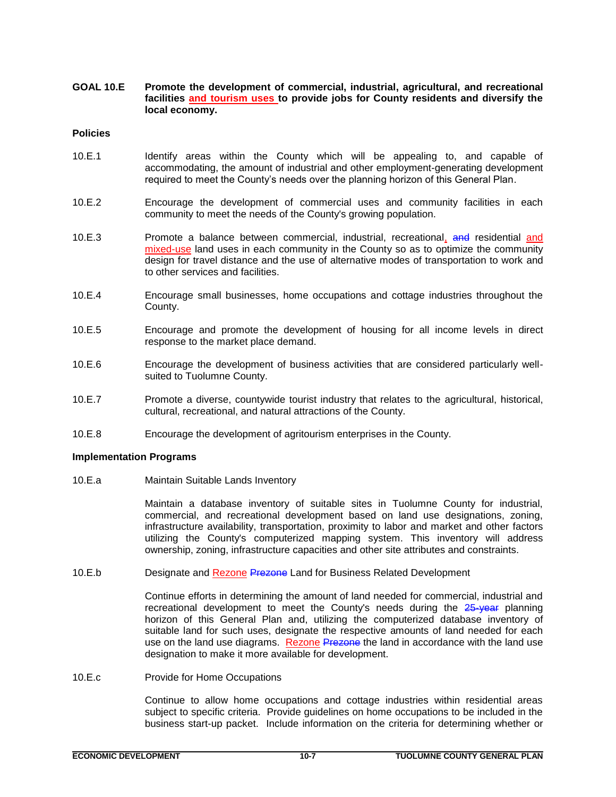**GOAL 10.E Promote the development of commercial, industrial, agricultural, and recreational facilities and tourism uses to provide jobs for County residents and diversify the local economy.** 

#### **Policies**

- 10.E.1 Identify areas within the County which will be appealing to, and capable of accommodating, the amount of industrial and other employment-generating development required to meet the County's needs over the planning horizon of this General Plan.
- 10.E.2 Encourage the development of commercial uses and community facilities in each community to meet the needs of the County's growing population.
- 10.E.3 Promote a balance between commercial, industrial, recreational, and residential and mixed-use land uses in each community in the County so as to optimize the community design for travel distance and the use of alternative modes of transportation to work and to other services and facilities.
- 10.E.4 Encourage small businesses, home occupations and cottage industries throughout the County.
- 10.E.5 Encourage and promote the development of housing for all income levels in direct response to the market place demand.
- 10.E.6 Encourage the development of business activities that are considered particularly wellsuited to Tuolumne County.
- 10.E.7 Promote a diverse, countywide tourist industry that relates to the agricultural, historical, cultural, recreational, and natural attractions of the County.
- 10.E.8 Encourage the development of agritourism enterprises in the County.

# **Implementation Programs**

10.E.a Maintain Suitable Lands Inventory

Maintain a database inventory of suitable sites in Tuolumne County for industrial, commercial, and recreational development based on land use designations, zoning, infrastructure availability, transportation, proximity to labor and market and other factors utilizing the County's computerized mapping system. This inventory will address ownership, zoning, infrastructure capacities and other site attributes and constraints.

10.E.b Designate and Rezone Prezone Land for Business Related Development

Continue efforts in determining the amount of land needed for commercial, industrial and recreational development to meet the County's needs during the 25-year planning horizon of this General Plan and, utilizing the computerized database inventory of suitable land for such uses, designate the respective amounts of land needed for each use on the land use diagrams. Rezone Prezone the land in accordance with the land use designation to make it more available for development.

10.E.c Provide for Home Occupations

Continue to allow home occupations and cottage industries within residential areas subject to specific criteria. Provide guidelines on home occupations to be included in the business start-up packet. Include information on the criteria for determining whether or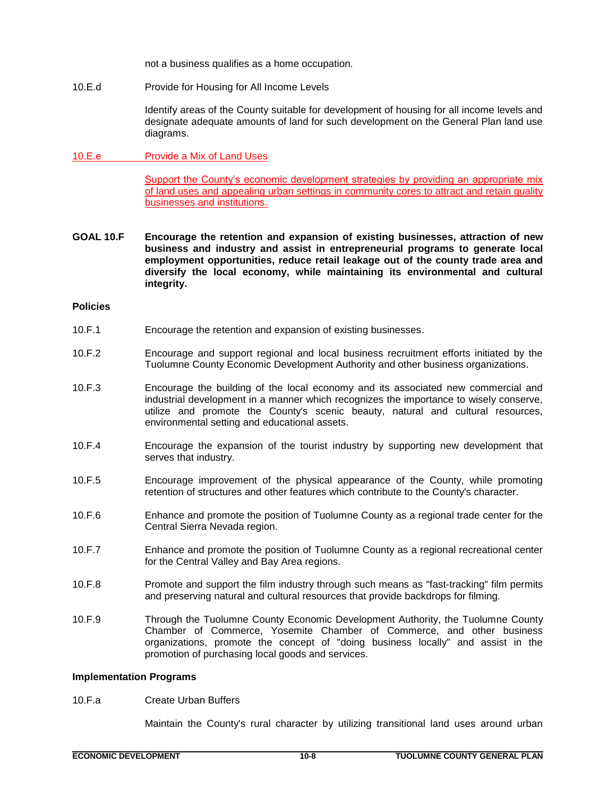not a business qualifies as a home occupation.

10.E.d Provide for Housing for All Income Levels

Identify areas of the County suitable for development of housing for all income levels and designate adequate amounts of land for such development on the General Plan land use diagrams.

# 10.E.e Provide a Mix of Land Uses

Support the County's economic development strategies by providing an appropriate mix of land uses and appealing urban settings in community cores to attract and retain quality businesses and institutions.

**GOAL 10.F Encourage the retention and expansion of existing businesses, attraction of new business and industry and assist in entrepreneurial programs to generate local employment opportunities, reduce retail leakage out of the county trade area and diversify the local economy, while maintaining its environmental and cultural integrity.**

#### **Policies**

- 10.F.1 Encourage the retention and expansion of existing businesses.
- 10.F.2 Encourage and support regional and local business recruitment efforts initiated by the Tuolumne County Economic Development Authority and other business organizations.
- 10.F.3 Encourage the building of the local economy and its associated new commercial and industrial development in a manner which recognizes the importance to wisely conserve, utilize and promote the County's scenic beauty, natural and cultural resources, environmental setting and educational assets.
- 10.F.4 Encourage the expansion of the tourist industry by supporting new development that serves that industry.
- 10.F.5 Encourage improvement of the physical appearance of the County, while promoting retention of structures and other features which contribute to the County's character.
- 10.F.6 Enhance and promote the position of Tuolumne County as a regional trade center for the Central Sierra Nevada region.
- 10.F.7 Enhance and promote the position of Tuolumne County as a regional recreational center for the Central Valley and Bay Area regions.
- 10.F.8 Promote and support the film industry through such means as "fast-tracking" film permits and preserving natural and cultural resources that provide backdrops for filming.
- 10.F.9 Through the Tuolumne County Economic Development Authority, the Tuolumne County Chamber of Commerce, Yosemite Chamber of Commerce, and other business organizations, promote the concept of "doing business locally" and assist in the promotion of purchasing local goods and services.

#### **Implementation Programs**

10.F.a Create Urban Buffers

Maintain the County's rural character by utilizing transitional land uses around urban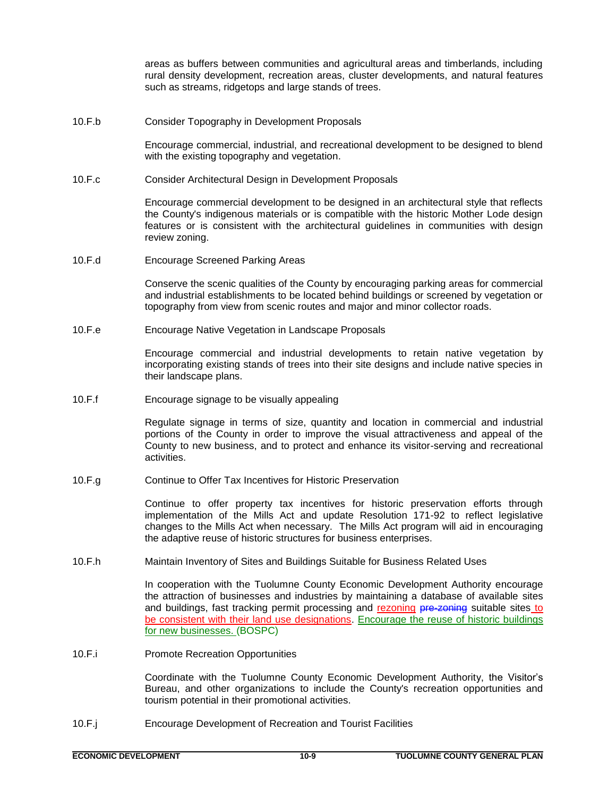areas as buffers between communities and agricultural areas and timberlands, including rural density development, recreation areas, cluster developments, and natural features such as streams, ridgetops and large stands of trees.

10.F.b Consider Topography in Development Proposals

Encourage commercial, industrial, and recreational development to be designed to blend with the existing topography and vegetation.

10.F.c Consider Architectural Design in Development Proposals

Encourage commercial development to be designed in an architectural style that reflects the County's indigenous materials or is compatible with the historic Mother Lode design features or is consistent with the architectural guidelines in communities with design review zoning.

10.F.d Encourage Screened Parking Areas

Conserve the scenic qualities of the County by encouraging parking areas for commercial and industrial establishments to be located behind buildings or screened by vegetation or topography from view from scenic routes and major and minor collector roads.

10.F.e Encourage Native Vegetation in Landscape Proposals

Encourage commercial and industrial developments to retain native vegetation by incorporating existing stands of trees into their site designs and include native species in their landscape plans.

10.F.f Encourage signage to be visually appealing

Regulate signage in terms of size, quantity and location in commercial and industrial portions of the County in order to improve the visual attractiveness and appeal of the County to new business, and to protect and enhance its visitor-serving and recreational activities.

10.F.g Continue to Offer Tax Incentives for Historic Preservation

Continue to offer property tax incentives for historic preservation efforts through implementation of the Mills Act and update Resolution 171-92 to reflect legislative changes to the Mills Act when necessary. The Mills Act program will aid in encouraging the adaptive reuse of historic structures for business enterprises.

10.F.h Maintain Inventory of Sites and Buildings Suitable for Business Related Uses

In cooperation with the Tuolumne County Economic Development Authority encourage the attraction of businesses and industries by maintaining a database of available sites and buildings, fast tracking permit processing and rezoning pre-zoning suitable sites to be consistent with their land use designations. Encourage the reuse of historic buildings for new businesses. (BOSPC)

10.F.i Promote Recreation Opportunities

Coordinate with the Tuolumne County Economic Development Authority, the Visitor's Bureau, and other organizations to include the County's recreation opportunities and tourism potential in their promotional activities.

10.F.j Encourage Development of Recreation and Tourist Facilities